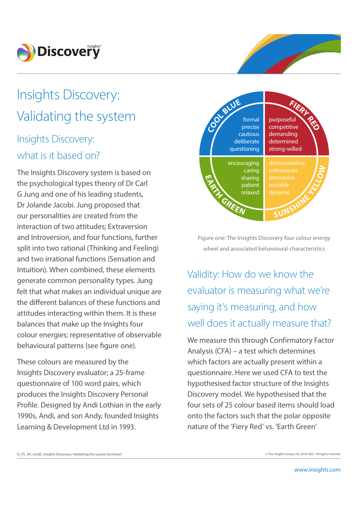

# Insights Discovery: Validating the system

## Insights Discovery: what is it based on?

The Insights Discovery system is based on the psychological types theory of Dr Carl G Jung and one of his leading students, Dr Jolande Jacobi. Jung proposed that our personalities are created from the interaction of two attitudes; Extraversion and Introversion, and four functions, further split into two rational (Thinking and Feeling) and two irrational functions (Sensation and Intuition). When combined, these elements generate common personality types. Jung felt that what makes an individual unique are the different balances of these functions and attitudes interacting within them. It is these balances that make up the Insights four colour energies; representative of observable behavioural patterns (see figure one).

These colours are measured by the Insights Discovery evaluator; a 25-frame questionnaire of 100 word pairs, which produces the Insights Discovery Personal Profile. Designed by Andi Lothian in the early 1990s, Andi, and son Andy, founded Insights Learning & Development Ltd in 1993.



Figure one: The Insights Discovery four colour energy wheel and associated behavioural characteristics

Validity: How do we know the evaluator is measuring what we're saying it's measuring, and how well does it actually measure that?

We measure this through Confirmatory Factor Analysis (CFA) – a test which determines which factors are actually present within a questionnaire. Here we used CFA to test the hypothesised factor structure of the Insights Discovery model. We hypothesised that the four sets of 25 colour based items should load onto the factors such that the polar opposite nature of the 'Fiery Red' vs. 'Earth Green'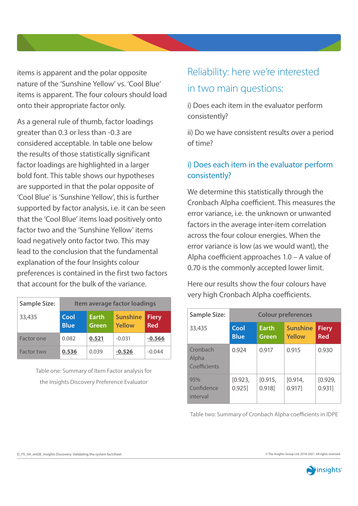items is apparent and the polar opposite nature of the 'Sunshine Yellow' vs. 'Cool Blue' items is apparent. The four colours should load onto their appropriate factor only.

As a general rule of thumb, factor loadings greater than 0.3 or less than -0.3 are considered acceptable. In table one below the results of those statistically significant factor loadings are highlighted in a larger bold font. This table shows our hypotheses are supported in that the polar opposite of 'Cool Blue' is 'Sunshine Yellow', this is further supported by factor analysis, i.e. it can be seen that the 'Cool Blue' items load positively onto factor two and the 'Sunshine Yellow' items load negatively onto factor two. This may lead to the conclusion that the fundamental explanation of the four Insights colour preferences is contained in the first two factors that account for the bulk of the variance.

| <b>Sample Size:</b> | Item average factor loadings |                              |                           |                            |  |
|---------------------|------------------------------|------------------------------|---------------------------|----------------------------|--|
| 33,435              | Cool<br><b>Blue</b>          | <b>Earth</b><br><b>Green</b> | <b>Sunshine</b><br>Yellow | <b>Fiery</b><br><b>Red</b> |  |
| Factor one          | 0.082                        | 0.521                        | $-0.031$                  | $-0.566$                   |  |
| Factor two          | 0.536                        | 0.039                        | $-0.526$                  | $-0.044$                   |  |

Table one: Summary of Item Factor analysis for the Insights Discovery Preference Evaluator

## Reliability: here we're interested in two main questions:

i) Does each item in the evaluator perform consistently?

ii) Do we have consistent results over a period of time?

### i) Does each item in the evaluator perform consistently?

We determine this statistically through the Cronbach Alpha coefficient. This measures the error variance, i.e. the unknown or unwanted factors in the average inter-item correlation across the four colour energies. When the error variance is low (as we would want), the Alpha coefficient approaches 1.0 – A value of 0.70 is the commonly accepted lower limit.

Here our results show the four colours have very high Cronbach Alpha coefficients.

| <b>Sample Size:</b>               | <b>Colour preferences</b> |                       |                           |                            |  |
|-----------------------------------|---------------------------|-----------------------|---------------------------|----------------------------|--|
| 33,435                            | Cool<br><b>Blue</b>       | <b>Earth</b><br>Green | <b>Sunshine</b><br>Yellow | <b>Fiery</b><br><b>Red</b> |  |
| Cronbach<br>Alpha<br>Coefficients | 0.924                     | 0.917                 | 0.915                     | 0.930                      |  |
| 95%<br>Confidence<br>interval     | [0.923,<br>0.925]         | [0.915,<br>0.918]     | [0.914,<br>0.917]         | [0.929,<br>0.931]          |  |

Table two: Summary of Cronbach Alpha coefficients in IDPE